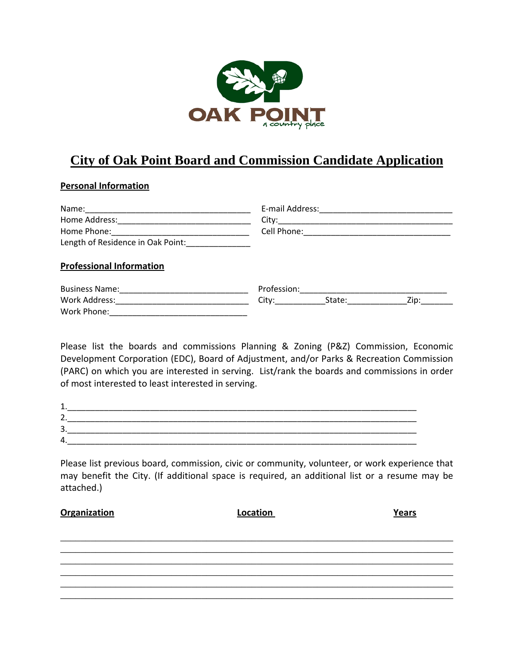

## **City of Oak Point Board and Commission Candidate Application**

## **Personal Information**

| Name: 2008 2010 2021 2022 2023 2024 2022 2022 2023 2024 2022 2023 2024 2022 2023 2024 2022 2023 2024 2022 2023 | E-mail Address: Management Communications                                                            |                    |
|----------------------------------------------------------------------------------------------------------------|------------------------------------------------------------------------------------------------------|--------------------|
|                                                                                                                |                                                                                                      |                    |
|                                                                                                                |                                                                                                      |                    |
| Length of Residence in Oak Point: _______________                                                              |                                                                                                      |                    |
| <b>Professional Information</b>                                                                                |                                                                                                      |                    |
|                                                                                                                | Profession: 2008 2010 2020 2020 2021 2021 2022 2021 2022 2022 2022 2022 2022 2022 2022 2022 2022 202 |                    |
|                                                                                                                | City:                                                                                                | State: <u>Zip:</u> |
| Work Phone:                                                                                                    |                                                                                                      |                    |

Please list the boards and commissions Planning & Zoning (P&Z) Commission, Economic Development Corporation (EDC), Board of Adjustment, and/or Parks & Recreation Commission (PARC) on which you are interested in serving. List/rank the boards and commissions in order of most interested to least interested in serving.

| ∽<br>-   |  |  |
|----------|--|--|
| ∽<br>. پ |  |  |
|          |  |  |

Please list previous board, commission, civic or community, volunteer, or work experience that may benefit the City. (If additional space is required, an additional list or a resume may be attached.)

| <b>Organization</b> | Location | Years |
|---------------------|----------|-------|
|                     |          |       |
|                     |          |       |
|                     |          |       |
|                     |          |       |
|                     |          |       |
|                     |          |       |